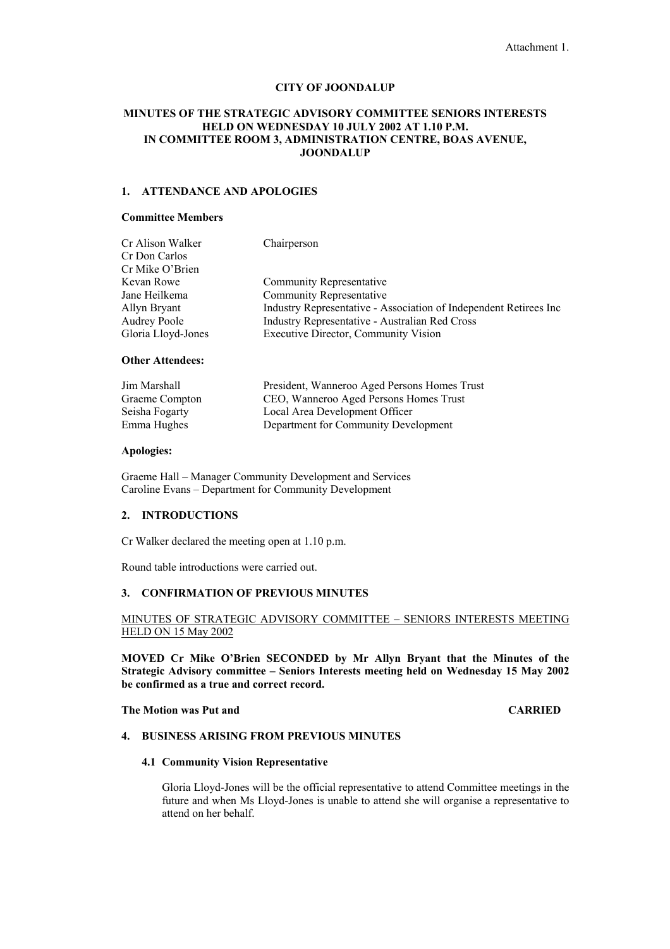# **CITY OF JOONDALUP**

# **MINUTES OF THE STRATEGIC ADVISORY COMMITTEE SENIORS INTERESTS HELD ON WEDNESDAY 10 JULY 2002 AT 1.10 P.M. IN COMMITTEE ROOM 3, ADMINISTRATION CENTRE, BOAS AVENUE, JOONDALUP**

# **1. ATTENDANCE AND APOLOGIES**

# **Committee Members**

| Cr Alison Walker    | Chairperson                                                       |
|---------------------|-------------------------------------------------------------------|
| Cr Don Carlos       |                                                                   |
| Cr Mike O'Brien     |                                                                   |
| Kevan Rowe          | Community Representative                                          |
| Jane Heilkema       | <b>Community Representative</b>                                   |
| Allyn Bryant        | Industry Representative - Association of Independent Retirees Inc |
| <b>Audrey Poole</b> | <b>Industry Representative - Australian Red Cross</b>             |
| Gloria Lloyd-Jones  | <b>Executive Director, Community Vision</b>                       |
|                     |                                                                   |

# **Other Attendees:**

| Jim Marshall   | President, Wanneroo Aged Persons Homes Trust |
|----------------|----------------------------------------------|
| Graeme Compton | CEO, Wanneroo Aged Persons Homes Trust       |
| Seisha Fogarty | Local Area Development Officer               |
| Emma Hughes    | Department for Community Development         |

## **Apologies:**

Graeme Hall – Manager Community Development and Services Caroline Evans – Department for Community Development

## **2. INTRODUCTIONS**

Cr Walker declared the meeting open at 1.10 p.m.

Round table introductions were carried out.

# **3. CONFIRMATION OF PREVIOUS MINUTES**

# MINUTES OF STRATEGIC ADVISORY COMMITTEE – SENIORS INTERESTS MEETING HELD ON 15 May 2002

**MOVED Cr Mike O'Brien SECONDED by Mr Allyn Bryant that the Minutes of the Strategic Advisory committee – Seniors Interests meeting held on Wednesday 15 May 2002 be confirmed as a true and correct record.** 

# **The Motion was Put and CARRIED**

# **4. BUSINESS ARISING FROM PREVIOUS MINUTES**

## **4.1 Community Vision Representative**

Gloria Lloyd-Jones will be the official representative to attend Committee meetings in the future and when Ms Lloyd-Jones is unable to attend she will organise a representative to attend on her behalf.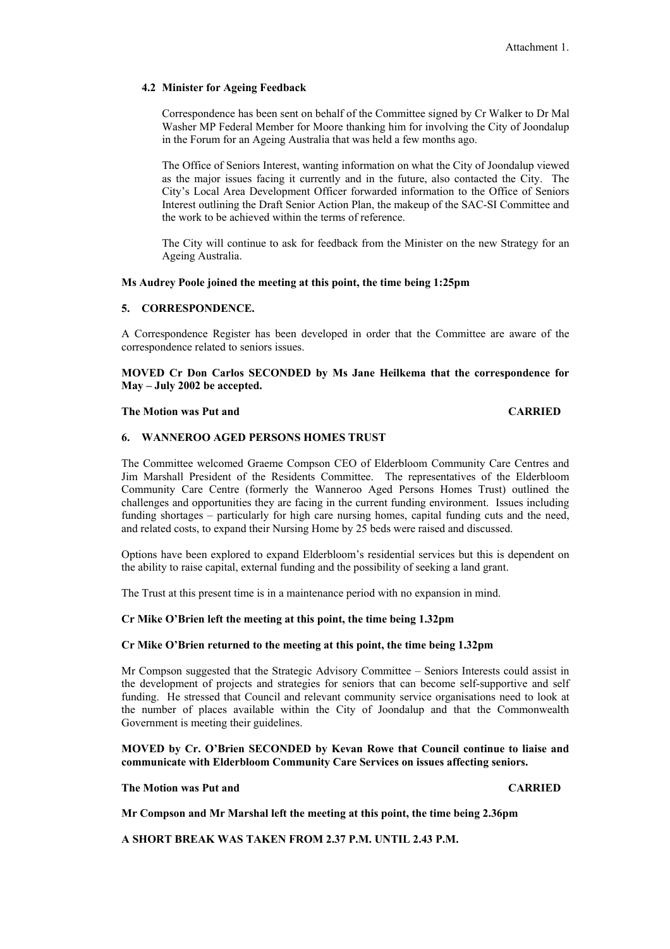# **4.2 Minister for Ageing Feedback**

Correspondence has been sent on behalf of the Committee signed by Cr Walker to Dr Mal Washer MP Federal Member for Moore thanking him for involving the City of Joondalup in the Forum for an Ageing Australia that was held a few months ago.

The Office of Seniors Interest, wanting information on what the City of Joondalup viewed as the major issues facing it currently and in the future, also contacted the City. The City's Local Area Development Officer forwarded information to the Office of Seniors Interest outlining the Draft Senior Action Plan, the makeup of the SAC-SI Committee and the work to be achieved within the terms of reference.

The City will continue to ask for feedback from the Minister on the new Strategy for an Ageing Australia.

# **Ms Audrey Poole joined the meeting at this point, the time being 1:25pm**

# **5. CORRESPONDENCE.**

A Correspondence Register has been developed in order that the Committee are aware of the correspondence related to seniors issues.

**MOVED Cr Don Carlos SECONDED by Ms Jane Heilkema that the correspondence for May – July 2002 be accepted.** 

## **The Motion was Put and CARRIED CARRIED**

# **6. WANNEROO AGED PERSONS HOMES TRUST**

The Committee welcomed Graeme Compson CEO of Elderbloom Community Care Centres and Jim Marshall President of the Residents Committee. The representatives of the Elderbloom Community Care Centre (formerly the Wanneroo Aged Persons Homes Trust) outlined the challenges and opportunities they are facing in the current funding environment. Issues including funding shortages – particularly for high care nursing homes, capital funding cuts and the need, and related costs, to expand their Nursing Home by 25 beds were raised and discussed.

Options have been explored to expand Elderbloom's residential services but this is dependent on the ability to raise capital, external funding and the possibility of seeking a land grant.

The Trust at this present time is in a maintenance period with no expansion in mind.

## **Cr Mike O'Brien left the meeting at this point, the time being 1.32pm**

### **Cr Mike O'Brien returned to the meeting at this point, the time being 1.32pm**

Mr Compson suggested that the Strategic Advisory Committee – Seniors Interests could assist in the development of projects and strategies for seniors that can become self-supportive and self funding. He stressed that Council and relevant community service organisations need to look at the number of places available within the City of Joondalup and that the Commonwealth Government is meeting their guidelines.

# **MOVED by Cr. O'Brien SECONDED by Kevan Rowe that Council continue to liaise and communicate with Elderbloom Community Care Services on issues affecting seniors.**

## **The Motion was Put and CARRIED CARRIED**

**Mr Compson and Mr Marshal left the meeting at this point, the time being 2.36pm** 

**A SHORT BREAK WAS TAKEN FROM 2.37 P.M. UNTIL 2.43 P.M.**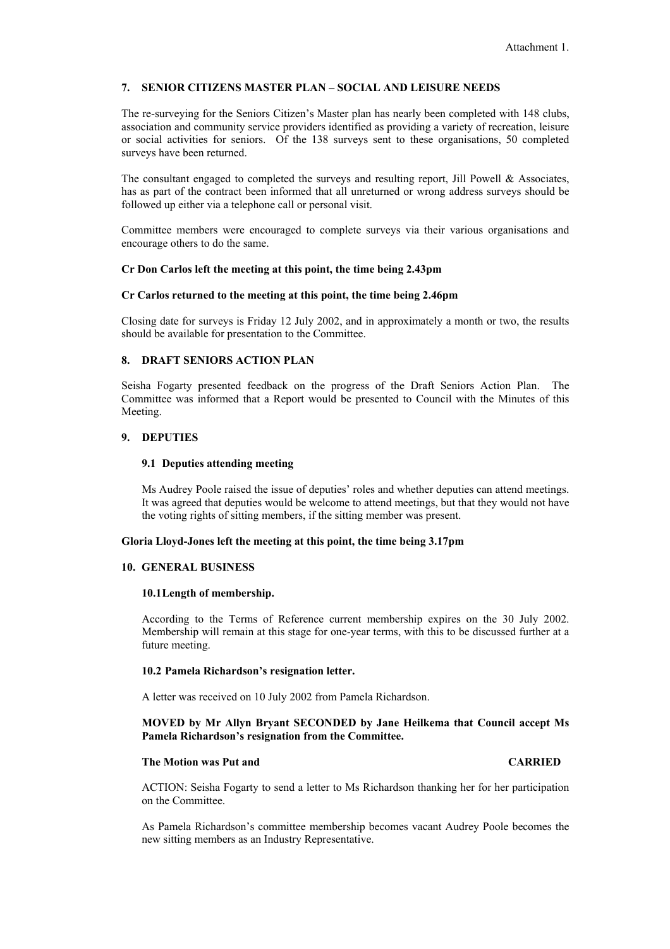# **7. SENIOR CITIZENS MASTER PLAN – SOCIAL AND LEISURE NEEDS**

The re-surveying for the Seniors Citizen's Master plan has nearly been completed with 148 clubs, association and community service providers identified as providing a variety of recreation, leisure or social activities for seniors. Of the 138 surveys sent to these organisations, 50 completed surveys have been returned.

The consultant engaged to completed the surveys and resulting report, Jill Powell  $\&$  Associates, has as part of the contract been informed that all unreturned or wrong address surveys should be followed up either via a telephone call or personal visit.

Committee members were encouraged to complete surveys via their various organisations and encourage others to do the same.

# **Cr Don Carlos left the meeting at this point, the time being 2.43pm**

## **Cr Carlos returned to the meeting at this point, the time being 2.46pm**

Closing date for surveys is Friday 12 July 2002, and in approximately a month or two, the results should be available for presentation to the Committee.

## **8. DRAFT SENIORS ACTION PLAN**

Seisha Fogarty presented feedback on the progress of the Draft Seniors Action Plan. The Committee was informed that a Report would be presented to Council with the Minutes of this Meeting.

# **9. DEPUTIES**

## **9.1 Deputies attending meeting**

Ms Audrey Poole raised the issue of deputies' roles and whether deputies can attend meetings. It was agreed that deputies would be welcome to attend meetings, but that they would not have the voting rights of sitting members, if the sitting member was present.

## **Gloria Lloyd-Jones left the meeting at this point, the time being 3.17pm**

## **10. GENERAL BUSINESS**

### **10.1 Length of membership.**

According to the Terms of Reference current membership expires on the 30 July 2002. Membership will remain at this stage for one-year terms, with this to be discussed further at a future meeting.

## **10.2 Pamela Richardson's resignation letter.**

A letter was received on 10 July 2002 from Pamela Richardson.

# **MOVED by Mr Allyn Bryant SECONDED by Jane Heilkema that Council accept Ms Pamela Richardson's resignation from the Committee.**

## **The Motion was Put and CARRIED**

ACTION: Seisha Fogarty to send a letter to Ms Richardson thanking her for her participation on the Committee.

As Pamela Richardson's committee membership becomes vacant Audrey Poole becomes the new sitting members as an Industry Representative.